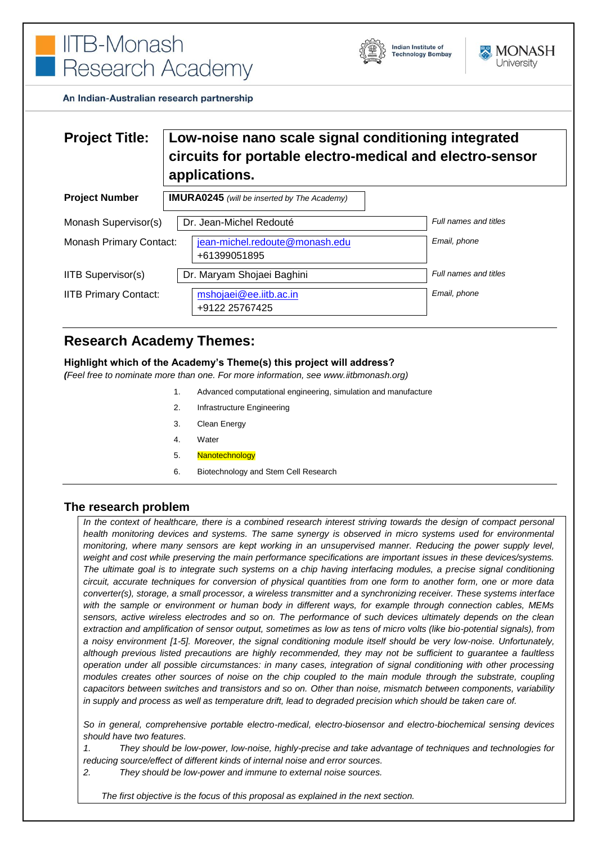



An Indian-Australian research partnership

# **Project Title: Low-noise nano scale signal conditioning integrated circuits for portable electro-medical and electro-sensor applications.**

| <b>Project Number</b>          | <b>IMURA0245</b> (will be inserted by The Academy) |                       |
|--------------------------------|----------------------------------------------------|-----------------------|
| Monash Supervisor(s)           | Dr. Jean-Michel Redouté                            | Full names and titles |
| <b>Monash Primary Contact:</b> | jean-michel.redoute@monash.edu<br>+61399051895     | Email, phone          |
| <b>IITB Supervisor(s)</b>      | Dr. Maryam Shojaei Baghini                         | Full names and titles |
| <b>IITB Primary Contact:</b>   | mshojaei@ee.iitb.ac.in<br>+9122 25767425           | Email, phone          |

## **Research Academy Themes:**

#### **Highlight which of the Academy's Theme(s) this project will address?**

*(Feel free to nominate more than one. For more information, see www.iitbmonash.org)*

- 1. Advanced computational engineering, simulation and manufacture
- 2. Infrastructure Engineering
- 3. Clean Energy
- 4. Water
- 5. Nanotechnology
- 6. Biotechnology and Stem Cell Research

### **The research problem**

*In the context of healthcare, there is a combined research interest striving towards the design of compact personal health monitoring devices and systems. The same synergy is observed in micro systems used for environmental monitoring, where many sensors are kept working in an unsupervised manner. Reducing the power supply level, weight and cost while preserving the main performance specifications are important issues in these devices/systems. The ultimate goal is to integrate such systems on a chip having interfacing modules, a precise signal conditioning circuit, accurate techniques for conversion of physical quantities from one form to another form, one or more data converter(s), storage, a small processor, a wireless transmitter and a synchronizing receiver. These systems interface with the sample or environment or human body in different ways, for example through connection cables, MEMs sensors, active wireless electrodes and so on. The performance of such devices ultimately depends on the clean extraction and amplification of sensor output, sometimes as low as tens of micro volts (like bio-potential signals), from a noisy environment [1-5]. Moreover, the signal conditioning module itself should be very low-noise. Unfortunately, although previous listed precautions are highly recommended, they may not be sufficient to guarantee a faultless operation under all possible circumstances: in many cases, integration of signal conditioning with other processing modules creates other sources of noise on the chip coupled to the main module through the substrate, coupling capacitors between switches and transistors and so on. Other than noise, mismatch between components, variability in supply and process as well as temperature drift, lead to degraded precision which should be taken care of.*

*So in general, comprehensive portable electro-medical, electro-biosensor and electro-biochemical sensing devices should have two features.* 

*1. They should be low-power, low-noise, highly-precise and take advantage of techniques and technologies for reducing source/effect of different kinds of internal noise and error sources.* 

*2. They should be low-power and immune to external noise sources.* 

*The first objective is the focus of this proposal as explained in the next section.*